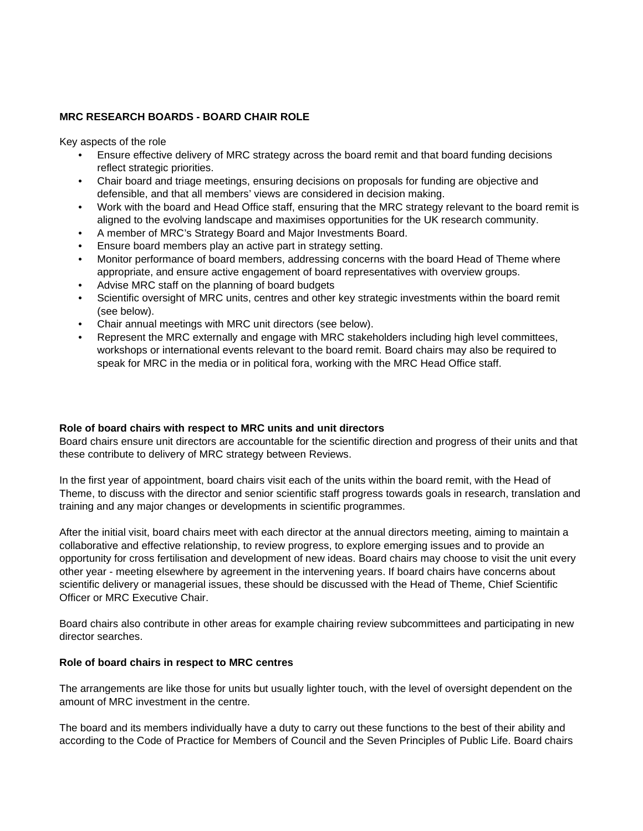## **MRC RESEARCH BOARDS - BOARD CHAIR ROLE**

Key aspects of the role

- Ensure effective delivery of MRC strategy across the board remit and that board funding decisions reflect strategic priorities.
- Chair board and triage meetings, ensuring decisions on proposals for funding are objective and defensible, and that all members' views are considered in decision making.
- Work with the board and Head Office staff, ensuring that the MRC strategy relevant to the board remit is aligned to the evolving landscape and maximises opportunities for the UK research community.
- A member of MRC's Strategy Board and Major Investments Board.
- Ensure board members play an active part in strategy setting.
- Monitor performance of board members, addressing concerns with the board Head of Theme where appropriate, and ensure active engagement of board representatives with overview groups.
- Advise MRC staff on the planning of board budgets
- Scientific oversight of MRC units, centres and other key strategic investments within the board remit (see below).
- Chair annual meetings with MRC unit directors (see below).
- Represent the MRC externally and engage with MRC stakeholders including high level committees, workshops or international events relevant to the board remit. Board chairs may also be required to speak for MRC in the media or in political fora, working with the MRC Head Office staff.

## **Role of board chairs with respect to MRC units and unit directors**

Board chairs ensure unit directors are accountable for the scientific direction and progress of their units and that these contribute to delivery of MRC strategy between Reviews.

In the first year of appointment, board chairs visit each of the units within the board remit, with the Head of Theme, to discuss with the director and senior scientific staff progress towards goals in research, translation and training and any major changes or developments in scientific programmes.

After the initial visit, board chairs meet with each director at the annual directors meeting, aiming to maintain a collaborative and effective relationship, to review progress, to explore emerging issues and to provide an opportunity for cross fertilisation and development of new ideas. Board chairs may choose to visit the unit every other year - meeting elsewhere by agreement in the intervening years. If board chairs have concerns about scientific delivery or managerial issues, these should be discussed with the Head of Theme, Chief Scientific Officer or MRC Executive Chair.

Board chairs also contribute in other areas for example chairing review subcommittees and participating in new director searches.

## **Role of board chairs in respect to MRC centres**

The arrangements are like those for units but usually lighter touch, with the level of oversight dependent on the amount of MRC investment in the centre.

The board and its members individually have a duty to carry out these functions to the best of their ability and according to the Code of Practice for Members of Council and the Seven Principles of Public Life. Board chairs